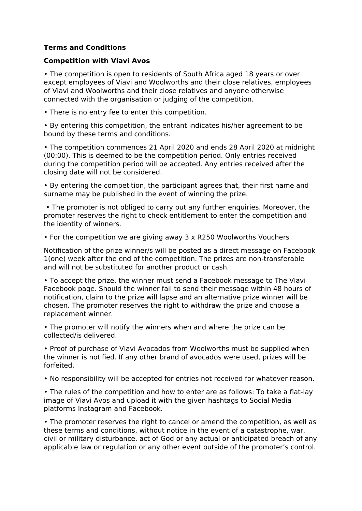## **Terms and Conditions**

## **Competition with Viavi Avos**

• The competition is open to residents of South Africa aged 18 years or over except employees of Viavi and Woolworths and their close relatives, employees of Viavi and Woolworths and their close relatives and anyone otherwise connected with the organisation or judging of the competition.

• There is no entry fee to enter this competition.

• By entering this competition, the entrant indicates his/her agreement to be bound by these terms and conditions.

• The competition commences 21 April 2020 and ends 28 April 2020 at midnight (00:00). This is deemed to be the competition period. Only entries received during the competition period will be accepted. Any entries received after the closing date will not be considered.

• By entering the competition, the participant agrees that, their first name and surname may be published in the event of winning the prize.

 • The promoter is not obliged to carry out any further enquiries. Moreover, the promoter reserves the right to check entitlement to enter the competition and the identity of winners.

• For the competition we are giving away 3 x R250 Woolworths Vouchers

Notification of the prize winner/s will be posted as a direct message on Facebook 1(one) week after the end of the competition. The prizes are non-transferable and will not be substituted for another product or cash.

• To accept the prize, the winner must send a Facebook message to The Viavi Facebook page. Should the winner fail to send their message within 48 hours of notification, claim to the prize will lapse and an alternative prize winner will be chosen. The promoter reserves the right to withdraw the prize and choose a replacement winner.

• The promoter will notify the winners when and where the prize can be collected/is delivered.

• Proof of purchase of Viavi Avocados from Woolworths must be supplied when the winner is notified. If any other brand of avocados were used, prizes will be forfeited.

• No responsibility will be accepted for entries not received for whatever reason.

• The rules of the competition and how to enter are as follows: To take a flat-lay image of Viavi Avos and upload it with the given hashtags to Social Media platforms Instagram and Facebook.

• The promoter reserves the right to cancel or amend the competition, as well as these terms and conditions, without notice in the event of a catastrophe, war, civil or military disturbance, act of God or any actual or anticipated breach of any applicable law or regulation or any other event outside of the promoter's control.